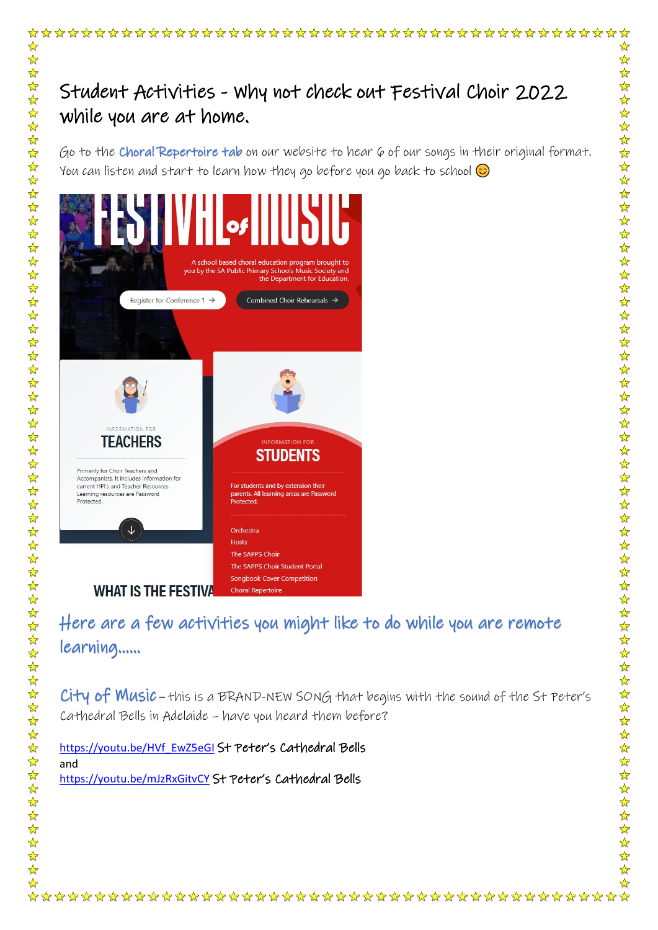## Student Activities - Why not check out Festival Choir 2022 while you are at home.

Go to the Choral Repertoire tab on our website to hear 6 of our songs in their original format. You can listen and start to learn how they go before you go back to school  $\odot$ 

55 55

 $\frac{1}{\sqrt{2}}$ 

 $III<sub>of</sub>$ you by the SA Public Primary Schools Music Society and the Department for Educi Combined Choir Rehearsals  $\rightarrow$ Register for Conference 1  $\rightarrow$ INFORMATION FOR **TEACHERS STUDENTS** Primarily for Choir Teachers and Accompanists. It includes information for current HPI's and Teacher Resources. For students and by extension their<br>parents. All learning areas are Passy Learning resources are Password Protected. J Orchestra The SAPPS Choir The SAPPS Choir Student Portal **Songbook Cover Competition WHAT IS THE FESTIVA Choral Repertoire** 

## Here are a few activities you might like to do while you are remote learning……

City of Music – this is a BRAND-NEW SONG that begins with the sound of the St Peter's Cathedral Bells in Adelaide – have you heard them before?

[https://youtu.be/HVf\\_EwZ5eGI](https://youtu.be/HVf_EwZ5eGI) St Peter's Cathedral Bells and <https://youtu.be/mJzRxGitvCY> St Peter's Cathedral Bells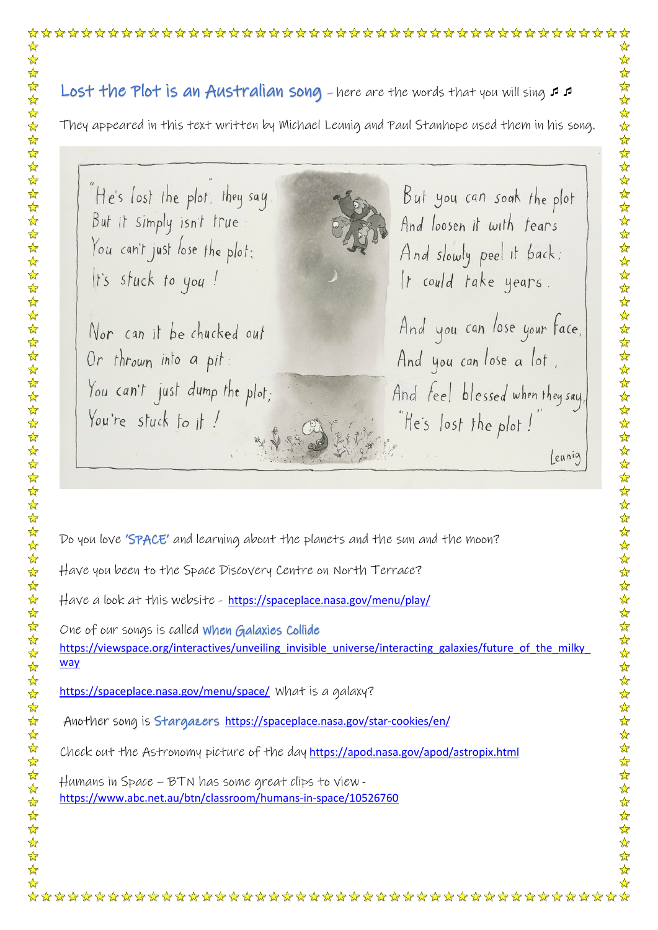## Lost the Plot is an Australian song - here are the words that you will sing  $\sigma$

They appeared in this text written by Michael Leunig and Paul Stanhope used them in his song.

He's lost the plot, they say, But it simply isn't true: You can't just lose the plot; It's stuck to you!

Nor can it be chucked out Or thrown into a pit: You can't just dump the plot; You're stuck to it!

But you can soak the plot And loosen it with tears And slowly peel it back; It could take years.

And you can lose your face, And you can lose a lot. And feel blessed when they say, He's lost the plot! leunig

Do you love 'SPACE' and learning about the planets and the sun and the moon?

Have you been to the Space Discovery Centre on North Terrace?

Have a look at this website - <https://spaceplace.nasa.gov/menu/play/>

One of our songs is called When Galaxies Collide https://viewspace.org/interactives/unveiling\_invisible\_universe/interacting\_galaxies/future\_of\_the\_milky [way](https://viewspace.org/interactives/unveiling_invisible_universe/interacting_galaxies/future_of_the_milky_way)

<https://spaceplace.nasa.gov/menu/space/>What is a galaxy?

Another song is Stargazers<https://spaceplace.nasa.gov/star-cookies/en/>

Check out the Astronomy picture of the day <https://apod.nasa.gov/apod/astropix.html>

Humans in Space – BTN has some great clips to view <https://www.abc.net.au/btn/classroom/humans-in-space/10526760>